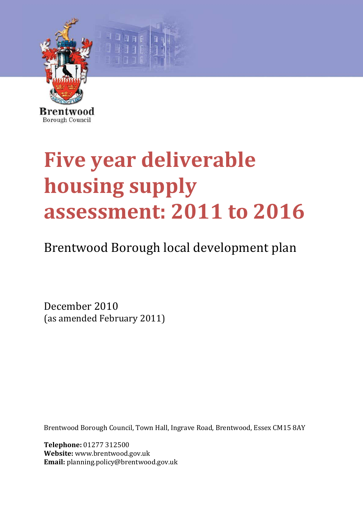

# **Five year deliverable housing supply assessment: 2011 to 2016**

Brentwood Borough local development plan

December 2010 (as amended February 2011)

Brentwood Borough Council, Town Hall, Ingrave Road, Brentwood, Essex CM15 8AY

**Telephone:** 01277 312500 **Website:** www.brentwood.gov.uk **Email:** planning.policy@brentwood.gov.uk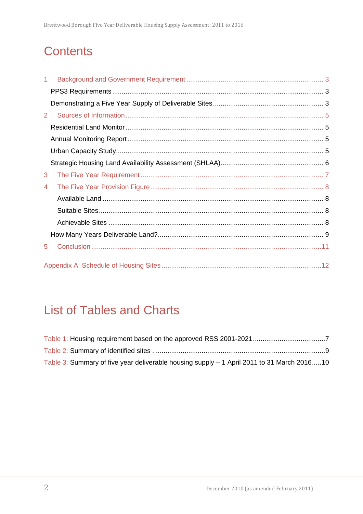# **Contents**

| 1. |  |
|----|--|
|    |  |
|    |  |
| 2  |  |
|    |  |
|    |  |
|    |  |
|    |  |
| 3  |  |
| 4  |  |
|    |  |
|    |  |
|    |  |
|    |  |
| 5  |  |
|    |  |

# **List of Tables and Charts**

| Table 3: Summary of five year deliverable housing supply – 1 April 2011 to 31 March 201610 |  |
|--------------------------------------------------------------------------------------------|--|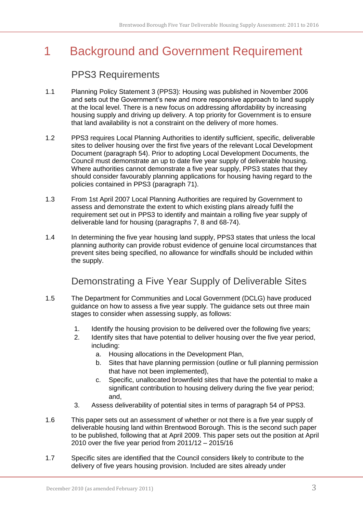# <span id="page-2-0"></span>1 Background and Government Requirement

#### PPS3 Requirements

- <span id="page-2-1"></span>1.1 Planning Policy Statement 3 (PPS3): Housing was published in November 2006 and sets out the Government's new and more responsive approach to land supply at the local level. There is a new focus on addressing affordability by increasing housing supply and driving up delivery. A top priority for Government is to ensure that land availability is not a constraint on the delivery of more homes.
- 1.2 PPS3 requires Local Planning Authorities to identify sufficient, specific, deliverable sites to deliver housing over the first five years of the relevant Local Development Document (paragraph 54). Prior to adopting Local Development Documents, the Council must demonstrate an up to date five year supply of deliverable housing. Where authorities cannot demonstrate a five year supply, PPS3 states that they should consider favourably planning applications for housing having regard to the policies contained in PPS3 (paragraph 71).
- 1.3 From 1st April 2007 Local Planning Authorities are required by Government to assess and demonstrate the extent to which existing plans already fulfil the requirement set out in PPS3 to identify and maintain a rolling five year supply of deliverable land for housing (paragraphs 7, 8 and 68-74).
- 1.4 In determining the five year housing land supply, PPS3 states that unless the local planning authority can provide robust evidence of genuine local circumstances that prevent sites being specified, no allowance for windfalls should be included within the supply.

## Demonstrating a Five Year Supply of Deliverable Sites

- <span id="page-2-2"></span>1.5 The Department for Communities and Local Government (DCLG) have produced guidance on how to assess a five year supply. The guidance sets out three main stages to consider when assessing supply, as follows:
	- 1. Identify the housing provision to be delivered over the following five years;
	- 2. Identify sites that have potential to deliver housing over the five year period, including:
		- a. Housing allocations in the Development Plan,
		- b. Sites that have planning permission (outline or full planning permission that have not been implemented),
		- c. Specific, unallocated brownfield sites that have the potential to make a significant contribution to housing delivery during the five year period; and,
	- 3. Assess deliverability of potential sites in terms of paragraph 54 of PPS3.
- 1.6 This paper sets out an assessment of whether or not there is a five year supply of deliverable housing land within Brentwood Borough. This is the second such paper to be published, following that at April 2009. This paper sets out the position at April 2010 over the five year period from 2011/12 – 2015/16
- 1.7 Specific sites are identified that the Council considers likely to contribute to the delivery of five years housing provision. Included are sites already under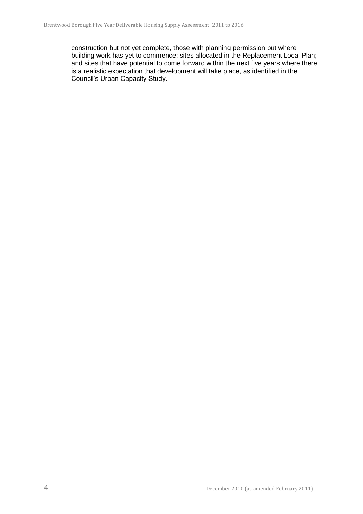construction but not yet complete, those with planning permission but where building work has yet to commence; sites allocated in the Replacement Local Plan; and sites that have potential to come forward within the next five years where there is a realistic expectation that development will take place, as identified in the Council's Urban Capacity Study.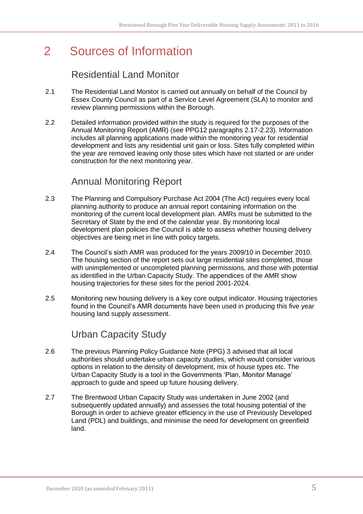## <span id="page-4-0"></span>2 Sources of Information

## Residential Land Monitor

- <span id="page-4-1"></span>2.1 The Residential Land Monitor is carried out annually on behalf of the Council by Essex County Council as part of a Service Level Agreement (SLA) to monitor and review planning permissions within the Borough.
- 2.2 Detailed information provided within the study is required for the purposes of the Annual Monitoring Report (AMR) (see PPG12 paragraphs 2.17-2.23). Information includes all planning applications made within the monitoring year for residential development and lists any residential unit gain or loss. Sites fully completed within the year are removed leaving only those sites which have not started or are under construction for the next monitoring year.

#### Annual Monitoring Report

- <span id="page-4-2"></span>2.3 The Planning and Compulsory Purchase Act 2004 (The Act) requires every local planning authority to produce an annual report containing information on the monitoring of the current local development plan. AMRs must be submitted to the Secretary of State by the end of the calendar year. By monitoring local development plan policies the Council is able to assess whether housing delivery objectives are being met in line with policy targets.
- 2.4 The Council's sixth AMR was produced for the years 2009/10 in December 2010. The housing section of the report sets out large residential sites completed, those with unimplemented or uncompleted planning permissions, and those with potential as identified in the Urban Capacity Study. The appendices of the AMR show housing trajectories for these sites for the period 2001-2024.
- 2.5 Monitoring new housing delivery is a key core output indicator. Housing trajectories found in the Council's AMR documents have been used in producing this five year housing land supply assessment.

## Urban Capacity Study

- <span id="page-4-3"></span>2.6 The previous Planning Policy Guidance Note (PPG) 3 advised that all local authorities should undertake urban capacity studies, which would consider various options in relation to the density of development, mix of house types etc. The Urban Capacity Study is a tool in the Governments 'Plan, Monitor Manage' approach to guide and speed up future housing delivery.
- 2.7 The Brentwood Urban Capacity Study was undertaken in June 2002 (and subsequently updated annually) and assesses the total housing potential of the Borough in order to achieve greater efficiency in the use of Previously Developed Land (PDL) and buildings, and minimise the need for development on greenfield land.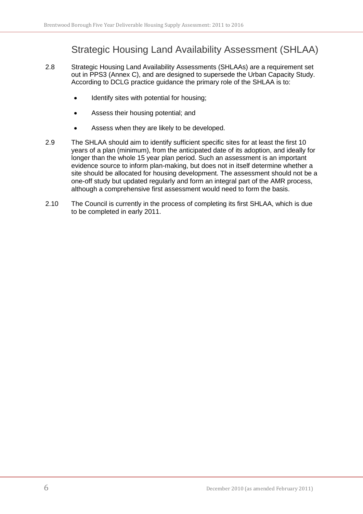## Strategic Housing Land Availability Assessment (SHLAA)

- <span id="page-5-0"></span>2.8 Strategic Housing Land Availability Assessments (SHLAAs) are a requirement set out in PPS3 (Annex C), and are designed to supersede the Urban Capacity Study. According to DCLG practice guidance the primary role of the SHLAA is to:
	- Identify sites with potential for housing;
	- Assess their housing potential; and
	- Assess when they are likely to be developed.
- 2.9 The SHLAA should aim to identify sufficient specific sites for at least the first 10 years of a plan (minimum), from the anticipated date of its adoption, and ideally for longer than the whole 15 year plan period. Such an assessment is an important evidence source to inform plan-making, but does not in itself determine whether a site should be allocated for housing development. The assessment should not be a one-off study but updated regularly and form an integral part of the AMR process, although a comprehensive first assessment would need to form the basis.
- 2.10 The Council is currently in the process of completing its first SHLAA, which is due to be completed in early 2011.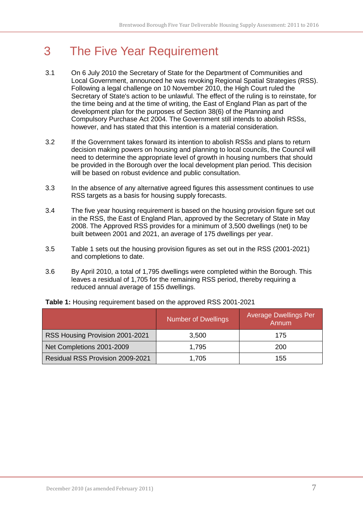## <span id="page-6-0"></span>3 The Five Year Requirement

- 3.1 On 6 July 2010 the Secretary of State for the Department of Communities and Local Government, announced he was revoking Regional Spatial Strategies (RSS). Following a legal challenge on 10 November 2010, the High Court ruled the Secretary of State's action to be unlawful. The effect of the ruling is to reinstate, for the time being and at the time of writing, the East of England Plan as part of the development plan for the purposes of Section 38(6) of the Planning and Compulsory Purchase Act 2004. The Government still intends to abolish RSSs, however, and has stated that this intention is a material consideration.
- 3.2 If the Government takes forward its intention to abolish RSSs and plans to return decision making powers on housing and planning to local councils, the Council will need to determine the appropriate level of growth in housing numbers that should be provided in the Borough over the local development plan period. This decision will be based on robust evidence and public consultation.
- 3.3 In the absence of any alternative agreed figures this assessment continues to use RSS targets as a basis for housing supply forecasts.
- 3.4 The five year housing requirement is based on the housing provision figure set out in the RSS, the East of England Plan, approved by the Secretary of State in May 2008. The Approved RSS provides for a minimum of 3,500 dwellings (net) to be built between 2001 and 2021, an average of 175 dwellings per year.
- 3.5 Table 1 sets out the housing provision figures as set out in the RSS (2001-2021) and completions to date.
- 3.6 By April 2010, a total of 1,795 dwellings were completed within the Borough. This leaves a residual of 1,705 for the remaining RSS period, thereby requiring a reduced annual average of 155 dwellings.

|                                         | <b>Number of Dwellings</b> | <b>Average Dwellings Per</b><br>Annum |
|-----------------------------------------|----------------------------|---------------------------------------|
| RSS Housing Provision 2001-2021         | 3,500                      | 175                                   |
| Net Completions 2001-2009               | 1,795                      | 200                                   |
| <b>Residual RSS Provision 2009-2021</b> | 1,705                      | 155                                   |

<span id="page-6-1"></span>**Table 1:** Housing requirement based on the approved RSS 2001-2021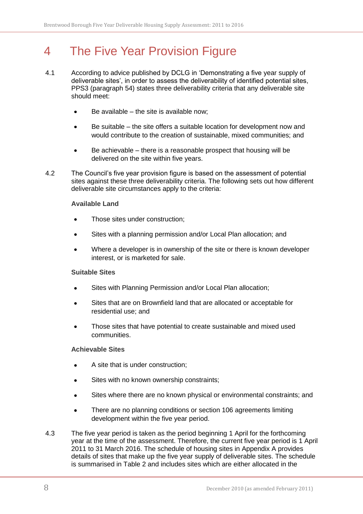## <span id="page-7-0"></span>4 The Five Year Provision Figure

- 4.1 According to advice published by DCLG in 'Demonstrating a five year supply of deliverable sites', in order to assess the deliverability of identified potential sites, PPS3 (paragraph 54) states three deliverability criteria that any deliverable site should meet:
	- Be available the site is available now;
	- Be suitable the site offers a suitable location for development now and  $\bullet$ would contribute to the creation of sustainable, mixed communities; and
	- Be achievable there is a reasonable prospect that housing will be  $\bullet$ delivered on the site within five years.
- 4.2 The Council's five year provision figure is based on the assessment of potential sites against these three deliverability criteria. The following sets out how different deliverable site circumstances apply to the criteria:

#### <span id="page-7-1"></span>**Available Land**

- Those sites under construction;
- Sites with a planning permission and/or Local Plan allocation; and
- Where a developer is in ownership of the site or there is known developer interest, or is marketed for sale.

#### <span id="page-7-2"></span>**Suitable Sites**

- Sites with Planning Permission and/or Local Plan allocation;
- Sites that are on Brownfield land that are allocated or acceptable for residential use; and
- Those sites that have potential to create sustainable and mixed used  $\bullet$ communities.

#### <span id="page-7-3"></span>**Achievable Sites**

- A site that is under construction;
- Sites with no known ownership constraints;
- Sites where there are no known physical or environmental constraints; and  $\bullet$
- There are no planning conditions or section 106 agreements limiting  $\bullet$ development within the five year period.
- 4.3 The five year period is taken as the period beginning 1 April for the forthcoming year at the time of the assessment. Therefore, the current five year period is 1 April 2011 to 31 March 2016. The schedule of housing sites in Appendix A provides details of sites that make up the five year supply of deliverable sites. The schedule is summarised in Table 2 and includes sites which are either allocated in the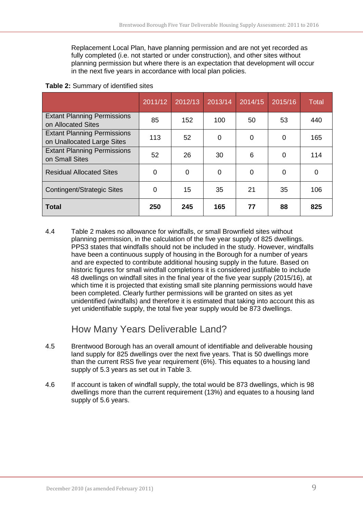Replacement Local Plan, have planning permission and are not yet recorded as fully completed (i.e. not started or under construction), and other sites without planning permission but where there is an expectation that development will occur in the next five years in accordance with local plan policies.

|                                                                  | 2011/12 | 2012/13 | 2013/14 | 2014/15 | 2015/16 | <b>Total</b> |
|------------------------------------------------------------------|---------|---------|---------|---------|---------|--------------|
| <b>Extant Planning Permissions</b><br>on Allocated Sites         | 85      | 152     | 100     | 50      | 53      | 440          |
| <b>Extant Planning Permissions</b><br>on Unallocated Large Sites | 113     | 52      | 0       | 0       | 0       | 165          |
| <b>Extant Planning Permissions</b><br>on Small Sites             | 52      | 26      | 30      | 6       | 0       | 114          |
| <b>Residual Allocated Sites</b>                                  | 0       | 0       | 0       | 0       | 0       | 0            |
| <b>Contingent/Strategic Sites</b>                                | 0       | 15      | 35      | 21      | 35      | 106          |
| <b>Total</b>                                                     | 250     | 245     | 165     | 77      | 88      | 825          |

#### <span id="page-8-1"></span>**Table 2:** Summary of identified sites

4.4 Table 2 makes no allowance for windfalls, or small Brownfield sites without planning permission, in the calculation of the five year supply of 825 dwellings. PPS3 states that windfalls should not be included in the study. However, windfalls have been a continuous supply of housing in the Borough for a number of years and are expected to contribute additional housing supply in the future. Based on historic figures for small windfall completions it is considered justifiable to include 48 dwellings on windfall sites in the final year of the five year supply (2015/16), at which time it is projected that existing small site planning permissions would have been completed. Clearly further permissions will be granted on sites as yet unidentified (windfalls) and therefore it is estimated that taking into account this as yet unidentifiable supply, the total five year supply would be 873 dwellings.

#### How Many Years Deliverable Land?

- <span id="page-8-0"></span>4.5 Brentwood Borough has an overall amount of identifiable and deliverable housing land supply for 825 dwellings over the next five years. That is 50 dwellings more than the current RSS five year requirement (6%). This equates to a housing land supply of 5.3 years as set out in Table 3.
- 4.6 If account is taken of windfall supply, the total would be 873 dwellings, which is 98 dwellings more than the current requirement (13%) and equates to a housing land supply of 5.6 years.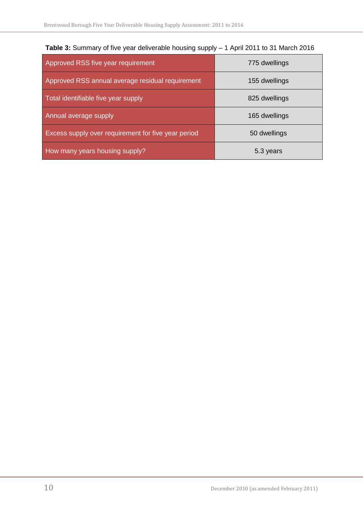| Approved RSS five year requirement                  | 775 dwellings |
|-----------------------------------------------------|---------------|
| Approved RSS annual average residual requirement    | 155 dwellings |
| Total identifiable five year supply                 | 825 dwellings |
| Annual average supply                               | 165 dwellings |
| Excess supply over requirement for five year period | 50 dwellings  |
| How many years housing supply?                      | 5.3 years     |

<span id="page-9-0"></span>

|  |  | Table 3: Summary of five year deliverable housing supply - 1 April 2011 to 31 March 2016 |  |  |
|--|--|------------------------------------------------------------------------------------------|--|--|
|--|--|------------------------------------------------------------------------------------------|--|--|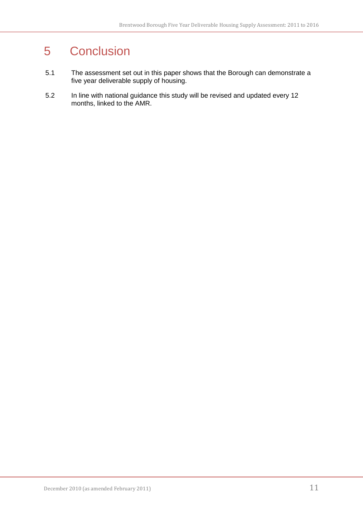## <span id="page-10-0"></span>5 Conclusion

- 5.1 The assessment set out in this paper shows that the Borough can demonstrate a five year deliverable supply of housing.
- 5.2 In line with national guidance this study will be revised and updated every 12 months, linked to the AMR.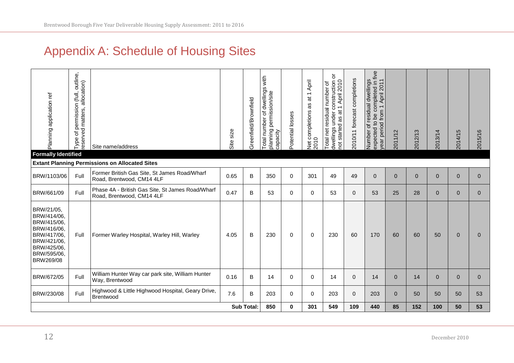## Appendix A: Schedule of Housing Sites

<span id="page-11-0"></span>

| Planning application ref<br><b>Formally Identified</b>                                                                           | outline,<br>allocation)<br>permission (full,<br>matters,<br>peyese<br>৳<br>Type | Site name/address                                                             | size<br>Site | Greenfield/Brownfield | nber of dwellings with<br>permission/site<br>Total number of<br>planning<br>capacity | Potential losses | April<br>$\leftarrow$<br>$\overline{\overline{\omega}}$<br>æ<br>Net completions<br>2010 | ŏ<br>construction<br>t 1 April 2010<br>net residual number of<br>at 1<br>under<br>started as<br>dwellings<br>Total<br>pot | completions<br>2010/11 forecast | expected to be completed in five<br>year period from 1 April 2011<br>Number of residual dwellings | 2011/12        | 2012/13  | 2013/14      | 2014/15        | 2015/16        |
|----------------------------------------------------------------------------------------------------------------------------------|---------------------------------------------------------------------------------|-------------------------------------------------------------------------------|--------------|-----------------------|--------------------------------------------------------------------------------------|------------------|-----------------------------------------------------------------------------------------|---------------------------------------------------------------------------------------------------------------------------|---------------------------------|---------------------------------------------------------------------------------------------------|----------------|----------|--------------|----------------|----------------|
|                                                                                                                                  |                                                                                 | <b>Extant Planning Permissions on Allocated Sites</b>                         |              |                       |                                                                                      |                  |                                                                                         |                                                                                                                           |                                 |                                                                                                   |                |          |              |                |                |
| BRW/1103/06                                                                                                                      | Full                                                                            | Former British Gas Site, St James Road/Wharf<br>Road, Brentwood, CM14 4LF     | 0.65         | B                     | 350                                                                                  | $\mathbf 0$      | 301                                                                                     | 49                                                                                                                        | 49                              | $\mathbf{0}$                                                                                      | $\overline{0}$ | $\Omega$ | $\mathbf{0}$ | $\overline{0}$ | $\Omega$       |
| BRW/661/09                                                                                                                       | Full                                                                            | Phase 4A - British Gas Site, St James Road/Wharf<br>Road, Brentwood, CM14 4LF | 0.47         | B                     | 53                                                                                   | $\mathbf 0$      | $\Omega$                                                                                | 53                                                                                                                        | $\mathbf 0$                     | 53                                                                                                | 25             | 28       | $\mathbf 0$  | $\Omega$       | $\Omega$       |
| BRW/21/05,<br>BRW/414/06,<br>BRW/415/06,<br>BRW/416/06,<br>BRW/417/06,<br>BRW/421/06,<br>BRW/425/06,<br>BRW/595/06,<br>BRW269/08 | Full                                                                            | Former Warley Hospital, Warley Hill, Warley                                   | 4.05         | B                     | 230                                                                                  | 0                | $\Omega$                                                                                | 230                                                                                                                       | 60                              | 170                                                                                               | 60             | 60       | 50           | $\Omega$       | 0              |
| BRW/672/05                                                                                                                       | Full                                                                            | William Hunter Way car park site, William Hunter<br>Way, Brentwood            | 0.16         | B                     | 14                                                                                   | 0                | $\Omega$                                                                                | 14                                                                                                                        | $\mathbf 0$                     | 14                                                                                                | $\overline{0}$ | 14       | $\mathbf{0}$ | $\mathbf 0$    | $\overline{0}$ |
| BRW/230/08                                                                                                                       | Full                                                                            | Highwood & Little Highwood Hospital, Geary Drive,<br>Brentwood                | 7.6          | B                     | 203                                                                                  | $\mathbf{0}$     | $\Omega$                                                                                | 203                                                                                                                       | $\mathbf 0$                     | 203                                                                                               | $\Omega$       | 50       | 50           | 50             | 53             |
|                                                                                                                                  |                                                                                 |                                                                               |              | <b>Sub Total:</b>     | 850                                                                                  | 0                | 301                                                                                     | 549                                                                                                                       | 109                             | 440                                                                                               | 85             | 152      | 100          | 50             | 53             |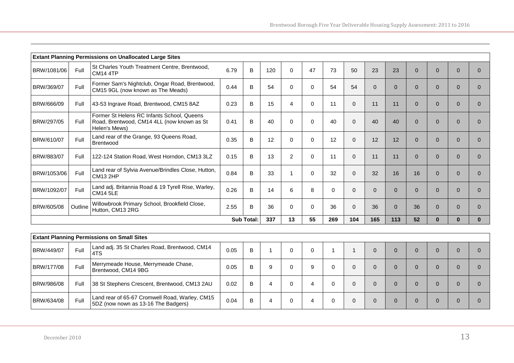|             | <b>Extant Planning Permissions on Unallocated Large Sites</b> |                                                                                                           |      |              |     |                |          |          |          |          |          |          |                |          |          |
|-------------|---------------------------------------------------------------|-----------------------------------------------------------------------------------------------------------|------|--------------|-----|----------------|----------|----------|----------|----------|----------|----------|----------------|----------|----------|
| BRW/1081/06 | Full                                                          | St Charles Youth Treatment Centre, Brentwood,<br><b>CM14 4TP</b>                                          | 6.79 | B            | 120 | $\Omega$       | 47       | 73       | 50       | 23       | 23       | $\Omega$ | $\overline{0}$ | $\Omega$ |          |
| BRW/369/07  | Full                                                          | Former Sam's Nightclub, Ongar Road, Brentwood,<br>CM15 9GL (now known as The Meads)                       | 0.44 | B            | 54  | $\mathbf 0$    | $\Omega$ | 54       | 54       | 0        | $\Omega$ | $\Omega$ | $\overline{0}$ | $\Omega$ |          |
| BRW/666/09  | Full                                                          | 43-53 Ingrave Road, Brentwood, CM15 8AZ                                                                   | 0.23 | B            | 15  | $\overline{4}$ | $\Omega$ | 11       | $\Omega$ | 11       | 11       | $\Omega$ | $\mathbf{0}$   | $\Omega$ | $\Omega$ |
| BRW/297/05  | Full                                                          | Former St Helens RC Infants School, Queens<br>Road, Brentwood, CM14 4LL (now known as St<br>Helen's Mews) | 0.41 | B            | 40  | $\Omega$       | $\Omega$ | 40       | $\Omega$ | 40       | 40       | $\Omega$ | $\Omega$       | $\Omega$ |          |
| BRW/610/07  | Full                                                          | Land rear of the Grange, 93 Queens Road,<br>Brentwood                                                     | 0.35 | B            | 12  | 0              | $\Omega$ | 12       | $\Omega$ | 12       | 12       | $\Omega$ | $\mathbf{0}$   | $\Omega$ | $\Omega$ |
| BRW/883/07  | Full                                                          | 122-124 Station Road, West Horndon, CM13 3LZ                                                              | 0.15 | B            | 13  | $\overline{2}$ | $\Omega$ | 11       | $\Omega$ | 11       | 11       | $\Omega$ | $\mathbf{0}$   | $\Omega$ |          |
| BRW/1053/06 | Full                                                          | Land rear of Sylvia Avenue/Brindles Close, Hutton,<br><b>CM13 2HP</b>                                     | 0.84 | <sub>B</sub> | 33  |                | $\Omega$ | 32       | $\Omega$ | 32       | 16       | 16       | $\mathbf{0}$   | $\Omega$ | $\Omega$ |
| BRW/1092/07 | Full                                                          | Land adj. Britannia Road & 19 Tyrell Rise, Warley,<br><b>CM14 5LE</b>                                     | 0.26 | B            | 14  | 6              | 8        | $\Omega$ | $\Omega$ | 0        | $\Omega$ | $\Omega$ | $\mathbf{0}$   | $\Omega$ | $\Omega$ |
| BRW/605/08  | Outline                                                       | Willowbrook Primary School, Brookfield Close,<br>Hutton, CM13 2RG                                         | 2.55 | B            | 36  | $\Omega$       | $\Omega$ | 36       | $\Omega$ | 36       | $\Omega$ | 36       | $\mathbf{0}$   | $\Omega$ |          |
|             |                                                               |                                                                                                           | 13   | 55           | 269 | 104            | 165      | 113      | 52       | $\bf{0}$ | $\bf{0}$ |          |                |          |          |

|                   | <b>Extant Planning Permissions on Small Sites</b> |                                                                                       |      |   |   |  |  |  |  |  |  |  |          |  |  |
|-------------------|---------------------------------------------------|---------------------------------------------------------------------------------------|------|---|---|--|--|--|--|--|--|--|----------|--|--|
| BRW/449/07        | Full                                              | Land adj. 35 St Charles Road, Brentwood, CM14<br>4TS                                  | 0.05 | В |   |  |  |  |  |  |  |  |          |  |  |
| BRW/177/08        | Full                                              | Merrymeade House, Merrymeade Chase,<br>Brentwood, CM14 9BG                            | 0.05 | В | 9 |  |  |  |  |  |  |  |          |  |  |
| <b>BRW/986/08</b> | Full                                              | 38 St Stephens Crescent, Brentwood, CM13 2AU                                          | 0.02 | В | 4 |  |  |  |  |  |  |  | $\Omega$ |  |  |
| <b>BRW/634/08</b> | Full                                              | Land rear of 65-67 Cromwell Road, Warley, CM15<br>5DZ (now nown as 13-16 The Badgers) | 0.04 | В |   |  |  |  |  |  |  |  | 0        |  |  |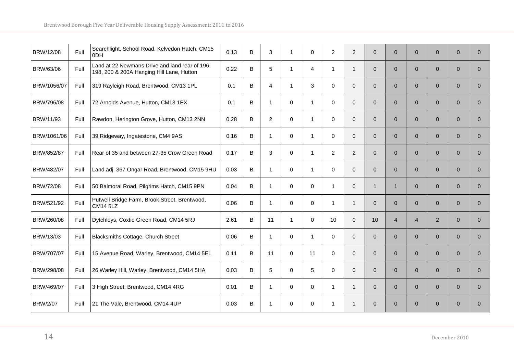| BRW/12/08       | Full | Searchlight, School Road, Kelvedon Hatch, CM15<br>0 <sub>DH</sub>                           | 0.13 | B | 3              | $\mathbf{1}$ | 0            | $\overline{2}$ | $\overline{2}$ | $\overline{0}$ | $\overline{0}$ | $\mathbf{0}$   | $\overline{0}$ | $\overline{0}$ | $\overline{0}$ |
|-----------------|------|---------------------------------------------------------------------------------------------|------|---|----------------|--------------|--------------|----------------|----------------|----------------|----------------|----------------|----------------|----------------|----------------|
| BRW/63/06       | Full | Land at 22 Newmans Drive and land rear of 196,<br>198, 200 & 200A Hanging Hill Lane, Hutton | 0.22 | B | 5              | $\mathbf{1}$ | 4            | $\mathbf{1}$   | $\mathbf{1}$   | $\overline{0}$ | $\overline{0}$ | $\overline{0}$ | $\overline{0}$ | $\overline{0}$ | $\Omega$       |
| BRW/1056/07     | Full | 319 Rayleigh Road, Brentwood, CM13 1PL                                                      | 0.1  | В | $\overline{4}$ | $\mathbf{1}$ | 3            | $\mathbf 0$    | $\mathbf{0}$   | $\overline{0}$ | $\overline{0}$ | $\overline{0}$ | $\overline{0}$ | $\overline{0}$ | $\overline{0}$ |
| BRW/796/08      | Full | 72 Arnolds Avenue, Hutton, CM13 1EX                                                         | 0.1  | В | $\mathbf{1}$   | $\mathbf 0$  | $\mathbf{1}$ | 0              | $\mathbf 0$    | 0              | $\overline{0}$ | $\mathbf{0}$   | $\overline{0}$ | $\mathbf{0}$   | $\overline{0}$ |
| BRW/11/93       | Full | Rawdon, Herington Grove, Hutton, CM13 2NN                                                   | 0.28 | B | $\overline{2}$ | $\mathbf 0$  | $\mathbf{1}$ | $\mathbf 0$    | $\Omega$       | $\overline{0}$ | $\overline{0}$ | $\Omega$       | $\overline{0}$ | $\Omega$       | $\Omega$       |
| BRW/1061/06     | Full | 39 Ridgeway, Ingatestone, CM4 9AS                                                           | 0.16 | B | $\mathbf{1}$   | $\mathbf 0$  | $\mathbf{1}$ | 0              | $\mathbf 0$    | $\overline{0}$ | $\overline{0}$ | $\overline{0}$ | $\overline{0}$ | $\overline{0}$ | $\overline{0}$ |
| BRW/852/87      | Full | Rear of 35 and between 27-35 Crow Green Road                                                | 0.17 | B | 3              | $\mathbf 0$  | $\mathbf{1}$ | $\overline{2}$ | $\overline{2}$ | 0              | $\overline{0}$ | $\mathbf{0}$   | $\overline{0}$ | $\mathbf{0}$   | $\overline{0}$ |
| BRW/482/07      | Full | Land adj. 367 Ongar Road, Brentwood, CM15 9HU                                               | 0.03 | В | $\mathbf{1}$   | $\mathbf 0$  | $\mathbf{1}$ | $\mathbf 0$    | $\Omega$       | $\overline{0}$ | $\overline{0}$ | $\Omega$       | $\overline{0}$ | $\mathbf{0}$   | $\overline{0}$ |
| BRW/72/08       | Full | 50 Balmoral Road, Pilgrims Hatch, CM15 9PN                                                  | 0.04 | B | $\mathbf{1}$   | $\mathbf 0$  | $\mathbf 0$  | $\mathbf{1}$   | $\mathbf{0}$   | $\mathbf{1}$   | $\mathbf{1}$   | $\mathbf{0}$   | $\overline{0}$ | $\overline{0}$ | $\overline{0}$ |
| BRW/521/92      | Full | Putwell Bridge Farm, Brook Street, Brentwood,<br><b>CM14 5LZ</b>                            | 0.06 | В | 1              | $\mathbf 0$  | 0            | $\mathbf{1}$   | $\mathbf{1}$   | $\overline{0}$ | $\overline{0}$ | $\mathbf{0}$   | $\overline{0}$ | $\mathbf{0}$   | $\overline{0}$ |
| BRW/260/08      | Full | Dytchleys, Coxtie Green Road, CM14 5RJ                                                      | 2.61 | B | 11             | $\mathbf{1}$ | $\Omega$     | 10             | $\mathbf{0}$   | 10             | $\overline{4}$ | $\overline{4}$ | $\overline{2}$ | $\Omega$       | $\Omega$       |
| BRW/13/03       | Full | Blacksmiths Cottage, Church Street                                                          | 0.06 | B | $\mathbf{1}$   | $\mathbf 0$  | $\mathbf{1}$ | 0              | $\mathbf 0$    | $\overline{0}$ | $\overline{0}$ | $\mathbf{0}$   | $\overline{0}$ | $\overline{0}$ | $\overline{0}$ |
| BRW/707/07      | Full | 15 Avenue Road, Warley, Brentwood, CM14 5EL                                                 | 0.11 | В | 11             | $\mathbf 0$  | 11           | 0              | $\mathbf 0$    | $\overline{0}$ | $\overline{0}$ | $\mathbf{0}$   | $\overline{0}$ | $\mathbf{0}$   | $\overline{0}$ |
| BRW/298/08      | Full | 26 Warley Hill, Warley, Brentwood, CM14 5HA                                                 | 0.03 | B | 5              | $\Omega$     | 5            | 0              | $\Omega$       | $\overline{0}$ | $\Omega$       | $\Omega$       | $\overline{0}$ | $\Omega$       | $\overline{0}$ |
| BRW/469/07      | Full | 3 High Street, Brentwood, CM14 4RG                                                          | 0.01 | B | $\mathbf{1}$   | $\mathbf 0$  | 0            | $\mathbf{1}$   | $\mathbf{1}$   | $\overline{0}$ | $\overline{0}$ | $\mathbf{0}$   | $\overline{0}$ | $\overline{0}$ | $\overline{0}$ |
| <b>BRW/2/07</b> | Full | 21 The Vale, Brentwood, CM14 4UP                                                            | 0.03 | B | 1              | $\mathbf 0$  | $\Omega$     | 1              | $\mathbf{1}$   | $\overline{0}$ | $\overline{0}$ | $\Omega$       | $\overline{0}$ | $\Omega$       | $\Omega$       |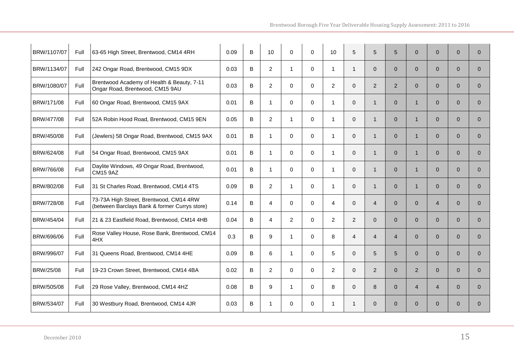| BRW/1107/07 | Full | 63-65 High Street, Brentwood, CM14 4RH                                                   | 0.09 | B | 10             | $\mathbf 0$  | $\Omega$     | 10             | 5              | 5              | 5              | $\mathbf{0}$            | $\overline{0}$ | $\mathbf{0}$   | $\overline{0}$ |
|-------------|------|------------------------------------------------------------------------------------------|------|---|----------------|--------------|--------------|----------------|----------------|----------------|----------------|-------------------------|----------------|----------------|----------------|
| BRW/1134/07 | Full | 242 Ongar Road, Brentwood, CM15 9DX                                                      | 0.03 | B | $\overline{2}$ | $\mathbf{1}$ | $\mathbf{0}$ | $\mathbf 1$    | $\mathbf{1}$   | $\Omega$       | $\Omega$       | $\Omega$                | $\overline{0}$ | $\Omega$       | $\Omega$       |
| BRW/1080/07 | Full | Brentwood Academy of Health & Beauty, 7-11<br>Ongar Road, Brentwood, CM15 9AU            | 0.03 | B | $\overline{2}$ | $\Omega$     | $\Omega$     | 2              | $\Omega$       | $\overline{2}$ | $\overline{2}$ | $\Omega$                | $\overline{0}$ | $\Omega$       | $\Omega$       |
| BRW/171/08  | Full | 60 Ongar Road, Brentwood, CM15 9AX                                                       | 0.01 | B | 1.             | $\mathbf 0$  | $\mathbf{0}$ | -1             | $\overline{0}$ | $\mathbf{1}$   | $\overline{0}$ | $\overline{1}$          | $\overline{0}$ | $\mathbf{0}$   | $\overline{0}$ |
| BRW/477/08  | Full | 52A Robin Hood Road, Brentwood, CM15 9EN                                                 | 0.05 | B | $\overline{2}$ | $\mathbf{1}$ | $\mathbf 0$  | $\mathbf{1}$   | $\overline{0}$ | $\mathbf{1}$   | $\overline{0}$ | $\overline{1}$          | $\overline{0}$ | $\Omega$       | $\overline{0}$ |
| BRW/450/08  | Full | (Jewlers) 58 Ongar Road, Brentwood, CM15 9AX                                             | 0.01 | B | $\mathbf{1}$   | $\Omega$     | $\Omega$     | $\mathbf{1}$   | $\Omega$       | $\mathbf{1}$   | $\Omega$       | $\overline{1}$          | $\Omega$       | $\Omega$       | $\Omega$       |
| BRW/624/08  | Full | 54 Ongar Road, Brentwood, CM15 9AX                                                       | 0.01 | B | 1.             | $\mathbf 0$  | $\Omega$     | -1             | $\mathbf 0$    | $\mathbf{1}$   | $\overline{0}$ | $\overline{\mathbf{1}}$ | $\overline{0}$ | $\Omega$       | $\Omega$       |
| BRW/766/08  | Full | Daylite Windows, 49 Ongar Road, Brentwood,<br><b>CM15 9AZ</b>                            | 0.01 | B | $\mathbf{1}$   | $\Omega$     | $\Omega$     | $\mathbf{1}$   | $\mathbf 0$    | $\mathbf{1}$   | $\Omega$       | $\overline{1}$          | $\overline{0}$ | $\Omega$       | $\Omega$       |
| BRW/802/08  | Full | 31 St Charles Road, Brentwood, CM14 4TS                                                  | 0.09 | B | $\overline{2}$ | $\mathbf{1}$ | $\mathbf 0$  | $\mathbf{1}$   | $\overline{0}$ | $\mathbf{1}$   | $\overline{0}$ | $\overline{1}$          | $\overline{0}$ | $\overline{0}$ | $\mathbf{0}$   |
| BRW/728/08  | Full | 73-73A High Street, Brentwood, CM14 4RW<br>(between Barclays Bank & former Currys store) | 0.14 | B | 4              | $\mathbf 0$  | 0            | 4              | $\mathbf 0$    | $\overline{4}$ | $\overline{0}$ | $\mathbf{0}$            | $\overline{4}$ | $\overline{0}$ | $\overline{0}$ |
| BRW/454/04  | Full | 21 & 23 Eastfield Road, Brentwood, CM14 4HB                                              | 0.04 | B | $\overline{4}$ | 2            | $\mathbf{0}$ | 2              | 2              | $\Omega$       | $\Omega$       | $\Omega$                | $\Omega$       | $\Omega$       | $\Omega$       |
| BRW/696/06  | Full | Rose Valley House, Rose Bank, Brentwood, CM14<br>4HX                                     | 0.3  | B | 9              | $\mathbf{1}$ | $\Omega$     | 8              | $\overline{4}$ | $\overline{4}$ | 4              | $\mathbf{0}$            | $\overline{0}$ | $\Omega$       | $\overline{0}$ |
| BRW/996/07  | Full | 31 Queens Road, Brentwood, CM14 4HE                                                      | 0.09 | B | 6              | $\mathbf 1$  | $\mathbf{0}$ | 5              | $\mathbf 0$    | 5              | 5              | $\Omega$                | $\overline{0}$ | $\Omega$       | $\Omega$       |
| BRW/25/08   | Full | 19-23 Crown Street, Brentwood, CM14 4BA                                                  | 0.02 | B | $\overline{2}$ | $\Omega$     | $\mathbf{0}$ | $\overline{2}$ | $\Omega$       | $\overline{2}$ | $\overline{0}$ | $\overline{2}$          | $\overline{0}$ | $\Omega$       | $\overline{0}$ |
| BRW/505/08  | Full | 29 Rose Valley, Brentwood, CM14 4HZ                                                      | 0.08 | B | 9              | $\mathbf{1}$ | $\Omega$     | 8              | $\Omega$       | 8              | $\overline{0}$ | $\overline{4}$          | $\overline{4}$ | $\Omega$       | $\mathbf{0}$   |
| BRW/534/07  | Full | 30 Westbury Road, Brentwood, CM14 4JR                                                    | 0.03 | B | $\mathbf 1$    | $\Omega$     | $\Omega$     | -1             | $\mathbf{1}$   | $\Omega$       | $\Omega$       | $\Omega$                | $\overline{0}$ | $\Omega$       | $\Omega$       |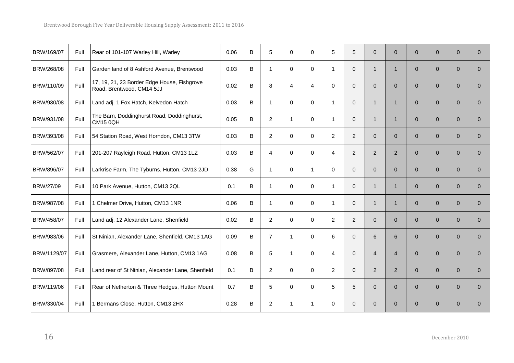| BRW/169/07  | Full | Rear of 101-107 Warley Hill, Warley                                      | 0.06 | B | 5              | $\mathbf 0$    | 0        | 5              | 5              | $\overline{0}$ | $\overline{0}$ | $\mathbf{0}$   | $\mathbf{0}$   | $\mathbf{0}$   | $\mathbf{0}$   |
|-------------|------|--------------------------------------------------------------------------|------|---|----------------|----------------|----------|----------------|----------------|----------------|----------------|----------------|----------------|----------------|----------------|
| BRW/268/08  | Full | Garden land of 8 Ashford Avenue, Brentwood                               | 0.03 | В | $\mathbf{1}$   | $\mathbf 0$    | 0        | $\mathbf 1$    | $\mathbf 0$    | $\mathbf{1}$   | $\mathbf{1}$   | $\overline{0}$ | $\overline{0}$ | $\overline{0}$ | $\overline{0}$ |
| BRW/110/09  | Full | 17, 19, 21, 23 Border Edge House, Fishgrove<br>Road, Brentwood, CM14 5JJ | 0.02 | B | 8              | $\overline{4}$ | 4        | 0              | $\mathbf 0$    | $\overline{0}$ | $\overline{0}$ | $\overline{0}$ | $\mathbf{0}$   | $\overline{0}$ | $\mathbf{0}$   |
| BRW/930/08  | Full | Land adj. 1 Fox Hatch, Kelvedon Hatch                                    | 0.03 | В | $\mathbf{1}$   | 0              | 0        | $\mathbf{1}$   | $\mathbf 0$    | $\mathbf{1}$   | $\mathbf{1}$   | $\overline{0}$ | $\overline{0}$ | $\overline{0}$ | $\overline{0}$ |
| BRW/931/08  | Full | The Barn, Doddinghurst Road, Doddinghurst,<br><b>CM15 0QH</b>            | 0.05 | В | $\overline{2}$ | $\mathbf{1}$   | 0        | $\overline{1}$ | $\mathbf 0$    | $\mathbf{1}$   | $\mathbf{1}$   | $\overline{0}$ | $\overline{0}$ | $\overline{0}$ | $\overline{0}$ |
| BRW/393/08  | Full | 54 Station Road, West Horndon, CM13 3TW                                  | 0.03 | В | $\overline{2}$ | $\mathbf 0$    | 0        | $\overline{2}$ | $\overline{2}$ | $\overline{0}$ | $\overline{0}$ | $\overline{0}$ | $\overline{0}$ | $\overline{0}$ | $\mathbf{0}$   |
| BRW/562/07  | Full | 201-207 Rayleigh Road, Hutton, CM13 1LZ                                  | 0.03 | B | 4              | $\mathbf 0$    | 0        | 4              | 2              | $\overline{2}$ | $\overline{2}$ | $\Omega$       | $\mathbf{0}$   | $\Omega$       | $\Omega$       |
| BRW/896/07  | Full | Larkrise Farm, The Tyburns, Hutton, CM13 2JD                             | 0.38 | G | $\mathbf{1}$   | $\mathbf{0}$   | 1        | $\Omega$       | $\Omega$       | $\overline{0}$ | $\Omega$       | $\Omega$       | $\overline{0}$ | $\Omega$       | $\Omega$       |
| BRW/27/09   | Full | 10 Park Avenue, Hutton, CM13 2QL                                         | 0.1  | В | $\mathbf 1$    | $\mathbf 0$    | 0        | $\mathbf{1}$   | $\mathbf 0$    | $\mathbf{1}$   | $\mathbf{1}$   | $\overline{0}$ | $\overline{0}$ | $\Omega$       | $\mathbf{0}$   |
| BRW/987/08  | Full | 1 Chelmer Drive, Hutton, CM13 1NR                                        | 0.06 | B | 1              | 0              | $\Omega$ | $\mathbf 1$    | $\mathbf 0$    | 1              | $\mathbf{1}$   | $\Omega$       | $\mathbf{0}$   | $\Omega$       | $\Omega$       |
| BRW/458/07  | Full | Land adj. 12 Alexander Lane, Shenfield                                   | 0.02 | B | $\overline{2}$ | $\Omega$       | $\Omega$ | 2              | 2              | $\overline{0}$ | $\Omega$       | $\Omega$       | $\overline{0}$ | $\Omega$       | $\Omega$       |
| BRW/983/06  | Full | St Ninian, Alexander Lane, Shenfield, CM13 1AG                           | 0.09 | B | $\overline{7}$ | $\mathbf{1}$   | $\Omega$ | 6              | $\mathbf{0}$   | 6              | 6              | $\overline{0}$ | $\overline{0}$ | $\overline{0}$ | $\overline{0}$ |
| BRW/1129/07 | Full | Grasmere, Alexander Lane, Hutton, CM13 1AG                               | 0.08 | B | 5              | $\mathbf{1}$   | $\Omega$ | 4              | $\Omega$       | $\overline{4}$ | $\overline{4}$ | $\Omega$       | $\overline{0}$ | $\Omega$       | $\Omega$       |
| BRW/897/08  | Full | Land rear of St Ninian, Alexander Lane, Shenfield                        | 0.1  | B | $\overline{2}$ | $\Omega$       | $\Omega$ | 2              | $\Omega$       | $\overline{2}$ | $\overline{2}$ | $\Omega$       | $\overline{0}$ | $\Omega$       | $\overline{0}$ |
| BRW/119/06  | Full | Rear of Netherton & Three Hedges, Hutton Mount                           | 0.7  | В | 5              | $\mathbf 0$    | 0        | 5              | 5              | 0              | $\overline{0}$ | $\overline{0}$ | $\overline{0}$ | $\overline{0}$ | $\mathbf{0}$   |
| BRW/330/04  | Full | 1 Bermans Close, Hutton, CM13 2HX                                        | 0.28 | B | $\overline{2}$ | $\mathbf{1}$   | 1        | 0              | $\Omega$       | $\overline{0}$ | $\overline{0}$ | $\Omega$       | $\overline{0}$ | $\Omega$       | $\Omega$       |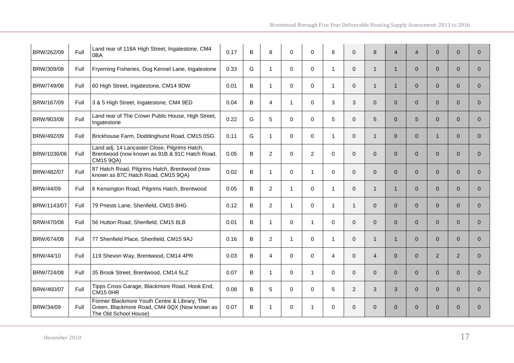| BRW/262/09  | Full | Land rear of 118A High Street, Ingatestone, CM4<br>0BA                                                                | 0.17 | В | 8              | 0            | 0              | 8              | $\mathbf 0$    | 8              | 4              | $\overline{4}$  | $\mathbf{0}$   | $\mathbf{0}$ | $\overline{0}$ |
|-------------|------|-----------------------------------------------------------------------------------------------------------------------|------|---|----------------|--------------|----------------|----------------|----------------|----------------|----------------|-----------------|----------------|--------------|----------------|
| BRW/309/08  | Full | Fryerning Fisheries, Dog Kennel Lane, Ingatestone                                                                     | 0.33 | G | $\mathbf{1}$   | $\mathbf 0$  | 0              | $\overline{1}$ | $\mathbf 0$    | 1              | 1              | $\Omega$        | $\mathbf{0}$   | $\mathbf{0}$ | $\overline{0}$ |
| BRW/749/08  | Full | 60 High Street, Ingatestone, CM14 9DW                                                                                 | 0.01 | В | $\mathbf{1}$   | $\mathbf 0$  | 0              | $\mathbf{1}$   | $\mathbf 0$    | $\mathbf{1}$   | 1              | $\overline{0}$  | $\mathbf{0}$   | $\mathbf{0}$ | $\overline{0}$ |
| BRW/167/09  | Full | 3 & 5 High Street, Ingatestone, CM4 9ED                                                                               | 0.04 | B | 4              | $\mathbf 1$  | 0              | 3              | 3              | $\overline{0}$ | $\overline{0}$ | $\overline{0}$  | $\mathbf{0}$   | $\mathbf{0}$ | $\overline{0}$ |
| BRW/903/08  | Full | Land rear of The Crown Public House, High Street,<br>Ingatestone                                                      | 0.22 | G | 5              | $\mathbf 0$  | 0              | 5              | $\mathbf 0$    | 5              | $\overline{0}$ | $5\overline{)}$ | $\mathbf{0}$   | $\mathbf{0}$ | $\overline{0}$ |
| BRW/492/09  | Full | Brickhouse Farm, Doddinghurst Road, CM15 0SG                                                                          | 0.11 | G | 1              | $\Omega$     | $\Omega$       | $\mathbf{1}$   | $\Omega$       | $\mathbf{1}$   | $\Omega$       | $\Omega$        | $\mathbf{1}$   | $\Omega$     | $\Omega$       |
| BRW/1036/06 | Full | Land adj. 14 Lancaster Close, Pilgrims Hatch,<br>Brentwood (now known as 91B & 91C Hatch Road,<br>CM15 9QA)           | 0.05 | В | 2              | $\mathbf 0$  | $\overline{2}$ | $\mathbf 0$    | $\mathbf 0$    | $\overline{0}$ | $\overline{0}$ | $\overline{0}$  | $\mathbf{0}$   | $\mathbf{0}$ | $\overline{0}$ |
| BRW/482/07  | Full | 87 Hatch Road, Pilgrims Hatch, Brentwood (now<br>known as 87C Hatch Road, CM15 9QA)                                   | 0.02 | В | $\mathbf 1$    | $\Omega$     | 1              | $\Omega$       | $\Omega$       | $\Omega$       | $\Omega$       | $\Omega$        | $\overline{0}$ | $\Omega$     | $\Omega$       |
| BRW/44/09   | Full | 6 Kensington Road, Pilgrims Hatch, Brentwood                                                                          | 0.05 | B | $\overline{2}$ | $\mathbf{1}$ | 0              | $\mathbf{1}$   | $\mathbf 0$    | $\mathbf{1}$   | 1              | $\overline{0}$  | $\mathbf{0}$   | $\mathbf{0}$ | $\overline{0}$ |
| BRW/1143/07 | Full | 79 Priests Lane, Shenfield, CM15 8HG                                                                                  | 0.12 | B | $\overline{2}$ | $\mathbf{1}$ | $\Omega$       | $\mathbf 1$    | $\mathbf 1$    | $\Omega$       | $\Omega$       | $\Omega$        | $\mathbf{0}$   | $\Omega$     | $\Omega$       |
| BRW/470/08  | Full | 56 Hutton Road, Shenfield, CM15 8LB                                                                                   | 0.01 | B | $\mathbf 1$    | $\Omega$     | 1              | $\Omega$       | $\Omega$       | $\Omega$       | $\Omega$       | $\Omega$        | $\overline{0}$ | $\Omega$     | $\Omega$       |
| BRW/674/08  | Full | 77 Shenfield Place, Shenfield, CM15 9AJ                                                                               | 0.16 | B | $\overline{2}$ | $\mathbf{1}$ | $\Omega$       | $\mathbf{1}$   | $\Omega$       | $\mathbf 1$    | 1              | $\Omega$        | $\overline{0}$ | $\Omega$     | $\overline{0}$ |
| BRW/44/10   | Full | 119 Shevon Way, Brentwood, CM14 4PR                                                                                   | 0.03 | B | 4              | $\Omega$     | $\Omega$       | $\overline{4}$ | $\mathbf 0$    | $\overline{4}$ | $\overline{0}$ | $\Omega$        | $\overline{2}$ | 2            | $\overline{0}$ |
| BRW/724/08  | Full | 35 Brook Street, Brentwood, CM14 5LZ                                                                                  | 0.07 | B | $\mathbf 1$    | $\Omega$     | 1              | $\Omega$       | $\Omega$       | $\Omega$       | $\Omega$       | $\Omega$        | $\overline{0}$ | $\Omega$     | $\Omega$       |
| BRW/460/07  | Full | Tipps Cross Garage, Blackmore Road, Hook End,<br><b>CM15 0HR</b>                                                      | 0.08 | В | 5              | $\Omega$     | $\Omega$       | 5              | $\overline{2}$ | 3              | 3              | $\Omega$        | $\Omega$       | $\Omega$     | $\Omega$       |
| BRW/34/09   | Full | Former Blackmore Youth Centre & Library, The<br>Green, Blackmore Road, CM4 0QX (Now known as<br>The Old School House) | 0.07 | В | 1              | $\Omega$     | 1              | $\mathbf 0$    | $\Omega$       | $\Omega$       | $\overline{0}$ | $\Omega$        | $\mathbf{0}$   | $\Omega$     | $\Omega$       |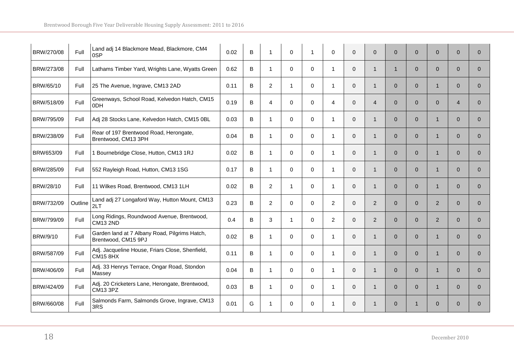| BRW/270/08 | Full    | Land adj 14 Blackmore Mead, Blackmore, CM4<br>0SP                    | 0.02 | B | $\mathbf{1}$   | 0              | -1          | 0              | $\mathbf 0$ | $\overline{0}$ | $\overline{0}$ | $\mathbf{0}$ | $\overline{0}$ | $\overline{0}$ | $\mathbf{0}$   |
|------------|---------|----------------------------------------------------------------------|------|---|----------------|----------------|-------------|----------------|-------------|----------------|----------------|--------------|----------------|----------------|----------------|
| BRW/273/08 | Full    | Lathams Timber Yard, Wrights Lane, Wyatts Green                      | 0.62 | В | 1              | $\mathbf 0$    | 0           | $\mathbf{1}$   | $\mathbf 0$ | $\mathbf{1}$   | $\mathbf{1}$   | $\Omega$     | $\mathbf{0}$   | $\overline{0}$ | $\Omega$       |
| BRW/65/10  | Full    | 25 The Avenue, Ingrave, CM13 2AD                                     | 0.11 | В | $\overline{2}$ | $\mathbf{1}$   | 0           | $\mathbf{1}$   | $\mathbf 0$ | $\mathbf{1}$   | $\overline{0}$ | $\mathbf{0}$ | $\mathbf{1}$   | $\overline{0}$ | $\overline{0}$ |
| BRW/518/09 | Full    | Greenways, School Road, Kelvedon Hatch, CM15<br>0 <sub>DH</sub>      | 0.19 | В | 4              | 0              | 0           | 4              | $\mathbf 0$ | 4              | $\overline{0}$ | $\mathbf{0}$ | $\overline{0}$ | $\overline{4}$ | $\mathbf{0}$   |
| BRW/795/09 | Full    | Adj 28 Stocks Lane, Kelvedon Hatch, CM15 0BL                         | 0.03 | В | 1              | $\mathbf 0$    | 0           | $\mathbf{1}$   | $\mathbf 0$ | $\mathbf{1}$   | $\overline{0}$ | $\mathbf{0}$ | $\mathbf{1}$   | $\mathbf{0}$   | $\overline{0}$ |
| BRW/238/09 | Full    | Rear of 197 Brentwood Road, Herongate,<br>Brentwood, CM13 3PH        | 0.04 | B | 1              | $\Omega$       | $\Omega$    | $\mathbf 1$    | $\Omega$    | $\mathbf{1}$   | $\Omega$       | $\Omega$     | $\mathbf{1}$   | $\Omega$       | $\overline{0}$ |
| BRW653/09  | Full    | Bournebridge Close, Hutton, CM13 1RJ                                 | 0.02 | B | 1              | $\mathbf 0$    | $\Omega$    | -1             | $\mathbf 0$ | 1              | $\Omega$       | $\Omega$     | $\mathbf{1}$   | $\Omega$       | $\Omega$       |
| BRW/285/09 | Full    | 552 Rayleigh Road, Hutton, CM13 1SG                                  | 0.17 | B | $\mathbf{1}$   | $\Omega$       | $\Omega$    | $\mathbf 1$    | $\Omega$    | $\mathbf{1}$   | $\Omega$       | $\Omega$     | $\mathbf{1}$   | $\Omega$       | $\Omega$       |
| BRW/28/10  | Full    | 11 Wilkes Road, Brentwood, CM13 1LH                                  | 0.02 | B | $\overline{2}$ | $\overline{1}$ | 0           | $\mathbf 1$    | $\mathbf 0$ | 1              | $\overline{0}$ | $\mathbf{0}$ | $\mathbf{1}$   | $\Omega$       | $\overline{0}$ |
| BRW/732/09 | Outline | Land adj 27 Longaford Way, Hutton Mount, CM13<br>2LT                 | 0.23 | B | $\overline{2}$ | $\mathbf 0$    | 0           | $\overline{2}$ | $\mathbf 0$ | $\overline{2}$ | $\overline{0}$ | $\Omega$     | $\overline{2}$ | $\Omega$       | $\Omega$       |
| BRW/799/09 | Full    | Long Ridings, Roundwood Avenue, Brentwood,<br><b>CM13 2ND</b>        | 0.4  | B | 3              | $\mathbf{1}$   | $\Omega$    | $\overline{2}$ | $\Omega$    | $\overline{2}$ | $\Omega$       | $\Omega$     | $\overline{2}$ | $\Omega$       | $\Omega$       |
| BRW/9/10   | Full    | Garden land at 7 Albany Road, Pilgrims Hatch,<br>Brentwood, CM15 9PJ | 0.02 | B | $\mathbf{1}$   | $\Omega$       | $\mathbf 0$ | $\mathbf{1}$   | $\Omega$    | $\mathbf{1}$   | $\overline{0}$ | $\mathbf{0}$ | $\mathbf{1}$   | $\overline{0}$ | $\overline{0}$ |
| BRW/587/09 | Full    | Adj. Jacqueline House, Friars Close, Shenfield,<br><b>CM15 8HX</b>   | 0.11 | В | 1              | $\mathbf 0$    | $\Omega$    | 1              | $\mathbf 0$ | $\mathbf{1}$   | $\overline{0}$ | $\mathbf{0}$ | $\mathbf{1}$   | $\overline{0}$ | $\Omega$       |
| BRW/406/09 | Full    | Adj. 33 Henrys Terrace, Ongar Road, Stondon<br>Massey                | 0.04 | B | $\mathbf{1}$   | $\Omega$       | $\Omega$    | -1             | $\Omega$    | $\mathbf{1}$   | $\Omega$       | $\Omega$     | $\mathbf{1}$   | $\Omega$       | $\Omega$       |
| BRW/424/09 | Full    | Adj. 20 Cricketers Lane, Herongate, Brentwood,<br><b>CM13 3PZ</b>    | 0.03 | B | $\mathbf{1}$   | $\mathbf 0$    | 0           | $\mathbf{1}$   | $\mathbf 0$ | $\mathbf{1}$   | $\overline{0}$ | $\mathbf{0}$ | $\mathbf{1}$   | $\mathbf{0}$   | $\mathbf{0}$   |
| BRW/660/08 | Full    | Salmonds Farm, Salmonds Grove, Ingrave, CM13<br>3RS                  | 0.01 | G | 1              | $\mathbf 0$    | $\Omega$    | 1              | $\Omega$    | $\mathbf{1}$   | $\overline{0}$ |              | $\overline{0}$ | $\Omega$       | $\Omega$       |